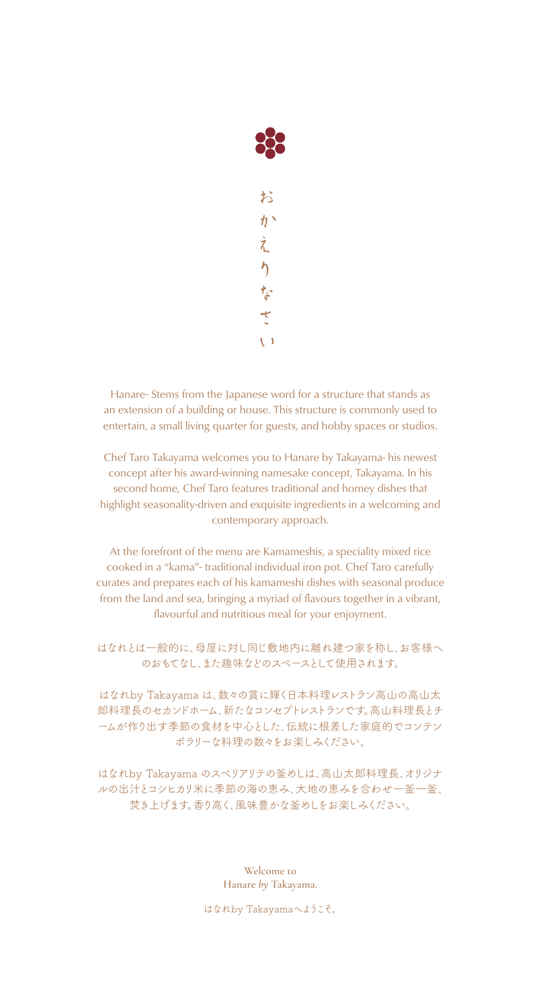

Hanare- Stems from the Japanese word for a structure that stands as an extension of a building or house. This structure is commonly used to entertain, a small living quarter for guests, and hobby spaces or studios.

Chef Taro Takayama welcomes you to Hanare by Takayama- his newest concept after his award-winning namesake concept, Takayama. In his second home, Chef Taro features traditional and homey dishes that highlight seasonality-driven and exquisite ingredients in a welcoming and contemporary approach.

At the forefront of the menu are Kamameshis, a speciality mixed rice cooked in a "kama"- traditional individual iron pot. Chef Taro carefully curates and prepares each of his kamameshi dishes with seasonal produce from the land and sea, bringing a myriad of flavours together in a vibrant, flavourful and nutritious meal for your enjoyment.

はなれとは一般的に、母屋に対し同じ敷地内に離れ建つ家を称し、お客様へ のおもてなし、また趣味などのスペースとして使用されます。

はなれby Takayama は、数々の賞に輝く日本料理レストラン高山の高山太 郎料理長のセカンドホーム、新たなコンセプトレストランです。高山料理長とチ ームが作り出す季節の食材を中心とした、伝統に根差した家庭的でコンテン ポラリーな料理の数々をお楽しみください。

はなれby Takayama のスぺリアリテの釜めしは、高山太郎料理長、オリジナ ルの出汁とコシヒカリ米に季節の海の恵み、大地の恵みを合わせ一釜一釜、 焚き上げます。香り高く、風味豊かな釜めしをお楽しみください。

> **Welcome to Hanare** *by* **Takayama.**

はなれby Takayamaへようこそ。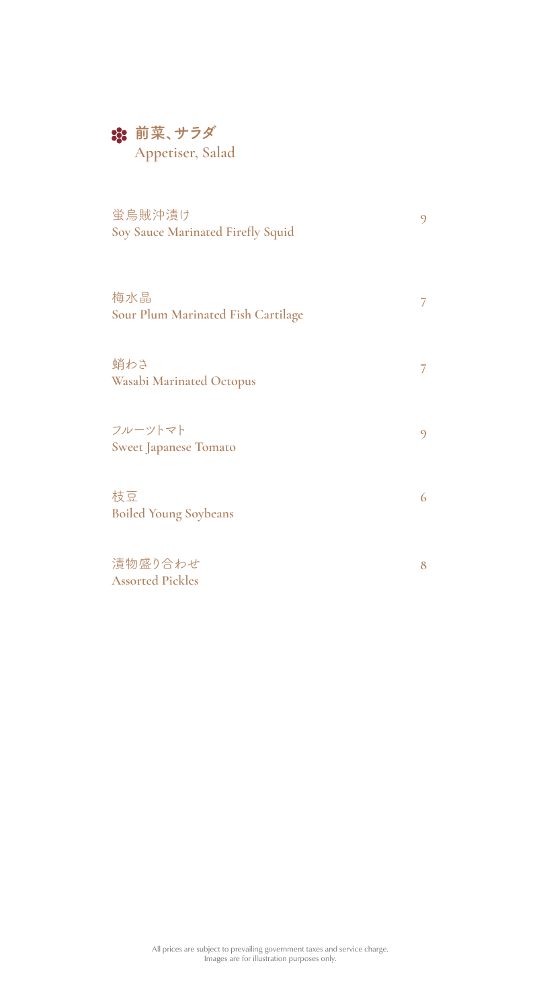# **前菜、サラダ**

**Appetiser, Salad**

| 蛍烏賊沖漬け<br>Soy Sauce Marinated Firefly Squid |   |
|---------------------------------------------|---|
| 梅水晶<br>Sour Plum Marinated Fish Cartilage   | 7 |
| 蛸わさ<br>Wasabi Marinated Octopus             | 7 |
| フルーツトマト<br><b>Sweet Japanese Tomato</b>     | 9 |
| 枝豆<br><b>Boiled Young Soybeans</b>          | 6 |
| 漬物盛り合わせ<br><b>Assorted Pickles</b>          | 8 |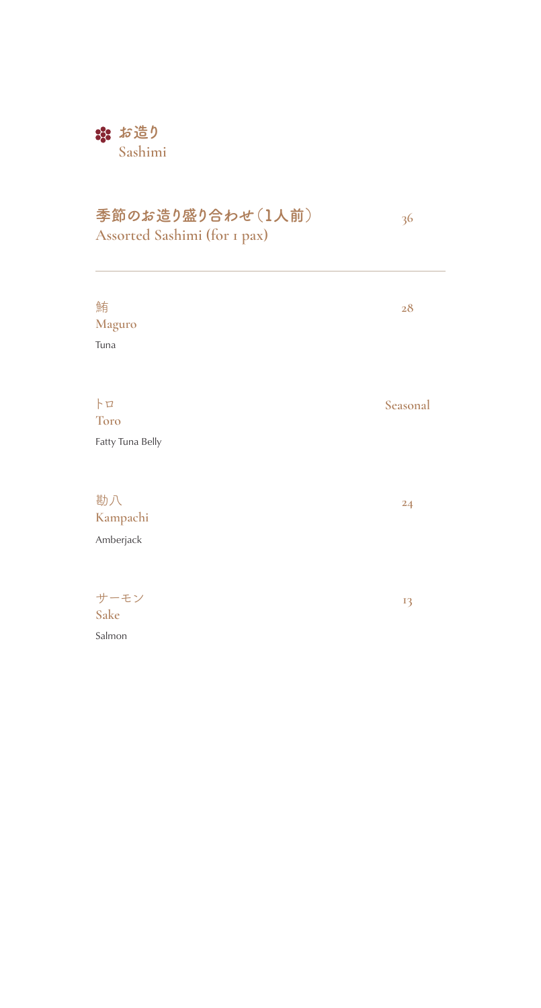### **なお造り Sashimi**

## **季節のお造り盛り合わせ(1人前)**

**36**

**Assorted Sashimi (for 1 pax)** 

| 鮪<br>Maguro<br>Tuna                  | 28       |
|--------------------------------------|----------|
| h<br><b>Toro</b><br>Fatty Tuna Belly | Seasonal |
| 勘八<br>Kampachi<br>Amberjack          | 24       |
| サーモン<br>Sake<br>Salmon               | 13       |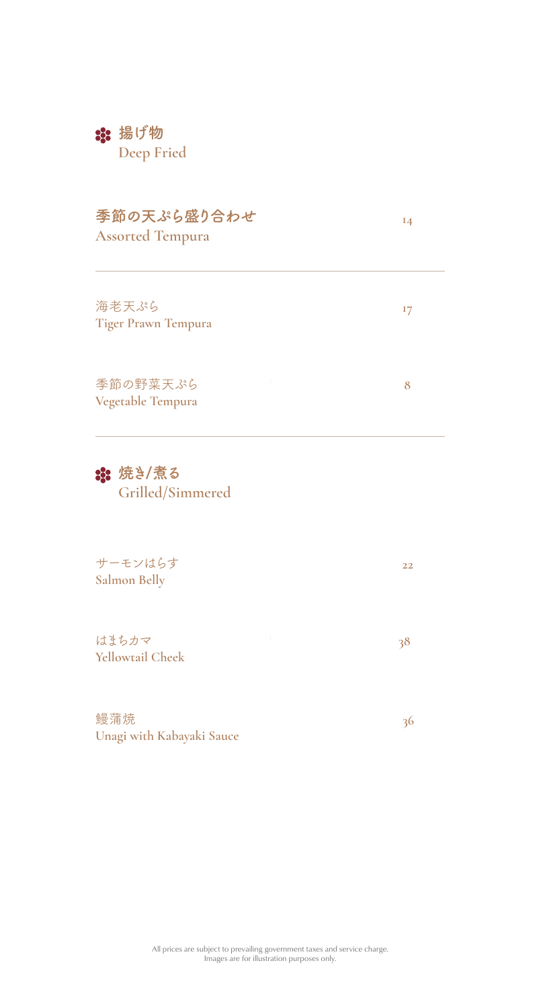### **揚げ物**

**Deep Fried**

#### **季節の天ぷら盛り合わせ Assorted Tempura**

**14**

**17**

**8**

**22**

**36**

海老天ぷら **Tiger Prawn Tempura**

季節の野菜天ぷら **Vegetable Tempura** 

#### **焼き/煮る Grilled/Simmered**

サーモンはらす **Salmon Belly**

はまちカマ **Yellowtail Cheek 38**

鰻蒲焼 **Unagi with Kabayaki Sauce**

> All prices are subject to prevailing government taxes and service charge. Images are for illustration purposes only.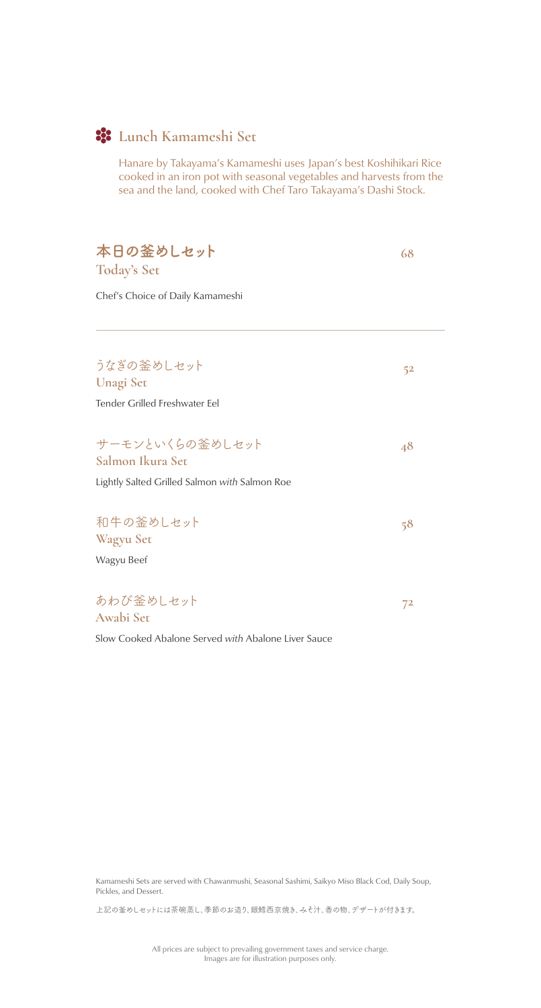## **Lunch Kamameshi Set**

Hanare by Takayama's Kamameshi uses Japan's best Koshihikari Rice cooked in an iron pot with seasonal vegetables and harvests from the sea and the land, cooked with Chef Taro Takayama's Dashi Stock.

| 本日の釜めしセット<br><b>Today's Set</b>               | 68    |
|-----------------------------------------------|-------|
| Chef's Choice of Daily Kamameshi              |       |
| うなぎの釜めしセット                                    | 52    |
| <b>Unagi Set</b>                              |       |
| Tender Grilled Freshwater Eel                 |       |
|                                               |       |
| サーモンといくらの釜めしセット                               | 48    |
| Salmon Ikura Set                              |       |
| Lightly Salted Grilled Salmon with Salmon Roe |       |
|                                               |       |
| 和牛の釜めしセット                                     | 58    |
| Wagyu Set                                     |       |
| Wagyu Beef                                    |       |
|                                               |       |
| あわび釜めしセット                                     | $7^2$ |
| Awabi Set                                     |       |
|                                               |       |

Slow Cooked Abalone Served *with* Abalone Liver Sauce

Kamameshi Sets are served with Chawanmushi, Seasonal Sashimi, Saikyo Miso Black Cod, Daily Soup, Pickles, and Dessert.

上記の釜めしセットには茶碗蒸し、季節のお造り、銀鱈西京焼き、みそ汁、香の物、デザートが付きます。